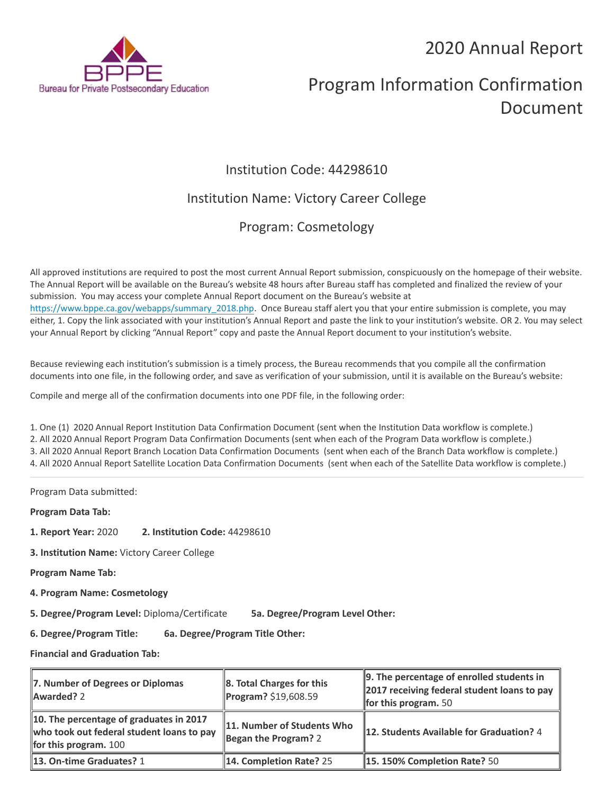## 2020 Annual Report



# Program Information Confirmation Document

## Institution Code: 44298610

## Institution Name: Victory Career College

## Program: Cosmetology

All approved institutions are required to post the most current Annual Report submission, conspicuously on the homepage of their website. The Annual Report will be available on the Bureau's website 48 hours after Bureau staff has completed and finalized the review of your submission. You may access your complete Annual Report document on the Bureau's website at [https://www.bppe.ca.gov/webapps/summary\\_2018.php.](https://www.bppe.ca.gov/webapps/summary_2018.php) Once Bureau staff alert you that your entire submission is complete, you may either, 1. Copy the link associated with your institution's Annual Report and paste the link to your institution's website. OR 2. You may select your Annual Report by clicking "Annual Report" copy and paste the Annual Report document to your institution's website.

Because reviewing each institution's submission is a timely process, the Bureau recommends that you compile all the confirmation documents into one file, in the following order, and save as verification of your submission, until it is available on the Bureau's website:

Compile and merge all of the confirmation documents into one PDF file, in the following order:

1. One (1) 2020 Annual Report Institution Data Confirmation Document (sent when the Institution Data workflow is complete.) 2. All 2020 Annual Report Program Data Confirmation Documents (sent when each of the Program Data workflow is complete.) 3. All 2020 Annual Report Branch Location Data Confirmation Documents (sent when each of the Branch Data workflow is complete.) 4. All 2020 Annual Report Satellite Location Data Confirmation Documents (sent when each of the Satellite Data workflow is complete.)

Program Data submitted:

**Program Data Tab:**

- **1. Report Year:** 2020 **2. Institution Code:** 44298610
- **3. Institution Name:** Victory Career College

**Program Name Tab:**

**4. Program Name: Cosmetology** 

**5. Degree/Program Level:** Diploma/Certificate **5a. Degree/Program Level Other:**

**6. Degree/Program Title: 6a. Degree/Program Title Other:**

**Financial and Graduation Tab:**

| 7. Number of Degrees or Diplomas<br>Awarded? 2                                                                         | $\ 8.$ Total Charges for this<br>Program? \$19,608.59 | $\parallel$ 9. The percentage of enrolled students in<br>2017 receiving federal student loans to pay<br><b>for this program.</b> 50 |
|------------------------------------------------------------------------------------------------------------------------|-------------------------------------------------------|-------------------------------------------------------------------------------------------------------------------------------------|
| 10. The percentage of graduates in 2017<br>who took out federal student loans to pay<br><b>for this program.</b> $100$ | 11. Number of Students Who<br>Began the Program? 2    | 12. Students Available for Graduation? 4                                                                                            |
| 13. On-time Graduates? 1                                                                                               | 14. Completion Rate? 25                               | $\parallel$ 15. 150% Completion Rate? 50                                                                                            |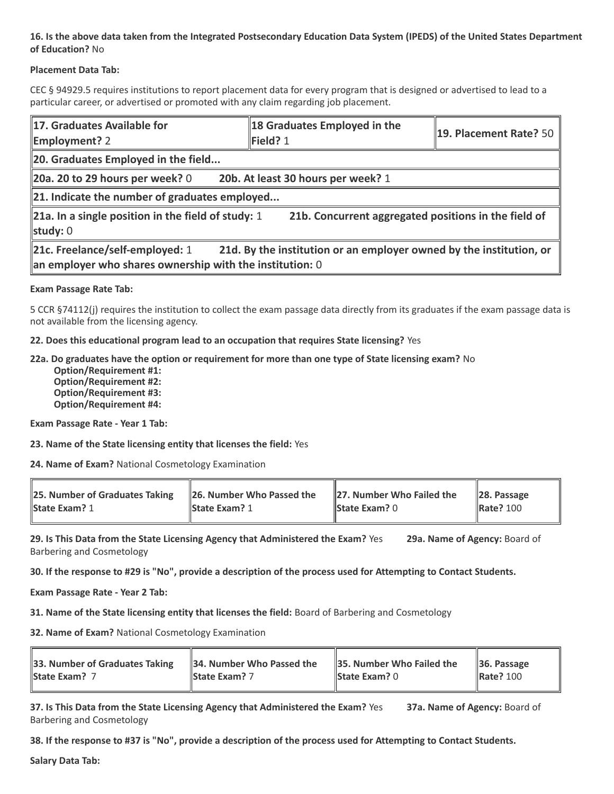#### **16. Is the above data taken from the Integrated Postsecondary Education Data System (IPEDS) of the United States Department of Education?** No

#### **Placement Data Tab:**

CEC § 94929.5 requires institutions to report placement data for every program that is designed or advertised to lead to a particular career, or advertised or promoted with any claim regarding job placement.

| 17. Graduates Available for<br><b>Employment?</b> 2                                                                                                                     | 18 Graduates Employed in the<br>Field? 1 | $\parallel$ 19. Placement Rate? 50 $\parallel$ |  |  |
|-------------------------------------------------------------------------------------------------------------------------------------------------------------------------|------------------------------------------|------------------------------------------------|--|--|
| 20. Graduates Employed in the field                                                                                                                                     |                                          |                                                |  |  |
| 20a. 20 to 29 hours per week? $0$                                                                                                                                       | 20b. At least 30 hours per week? 1       |                                                |  |  |
| 21. Indicate the number of graduates employed                                                                                                                           |                                          |                                                |  |  |
| <b>21a.</b> In a single position in the field of study: 1<br>21b. Concurrent aggregated positions in the field of<br>study: $0$                                         |                                          |                                                |  |  |
| 21c. Freelance/self-employed: 1<br>21d. By the institution or an employer owned by the institution, or<br>$\ $ an employer who shares ownership with the institution: 0 |                                          |                                                |  |  |

#### **Exam Passage Rate Tab:**

5 CCR §74112(j) requires the institution to collect the exam passage data directly from its graduates if the exam passage data is not available from the licensing agency.

**22. Does this educational program lead to an occupation that requires State licensing?** Yes

#### **22a. Do graduates have the option or requirement for more than one type of State licensing exam?** No

 **Option/Requirement #1: Option/Requirement #2: Option/Requirement #3: Option/Requirement #4:**

**Exam Passage Rate - Year 1 Tab:**

**23. Name of the State licensing entity that licenses the field:** Yes

**24. Name of Exam?** National Cosmetology Examination

| 25. Number of Graduates Taking | $\parallel$ 26. Number Who Passed the | $\parallel$ 27. Number Who Failed the | $\ $ 28. Passage |
|--------------------------------|---------------------------------------|---------------------------------------|------------------|
| <b>State Exam? 1</b>           | <b>State Exam? 1</b>                  | <b>State Exam?</b> $0$                | <b>Rate? 100</b> |
|                                |                                       |                                       |                  |

**29. Is This Data from the State Licensing Agency that Administered the Exam?** Yes **29a. Name of Agency:** Board of Barbering and Cosmetology

**30. If the response to #29 is "No", provide a description of the process used for Attempting to Contact Students.**

**Exam Passage Rate - Year 2 Tab:**

**31. Name of the State licensing entity that licenses the field:** Board of Barbering and Cosmetology

**32. Name of Exam?** National Cosmetology Examination

| 33. Number of Graduates Taking | 34. Number Who Passed the | 35. Number Who Failed the | $\parallel$ 36. Passage |
|--------------------------------|---------------------------|---------------------------|-------------------------|
| <b>State Exam?</b> 7           | <b>State Exam?</b> 7      | <b>State Exam?</b> $0$    | <b>Rate? 100</b>        |
|                                |                           |                           |                         |

**37. Is This Data from the State Licensing Agency that Administered the Exam?** Yes **37a. Name of Agency:** Board of Barbering and Cosmetology

**38. If the response to #37 is "No", provide a description of the process used for Attempting to Contact Students.** 

**Salary Data Tab:**